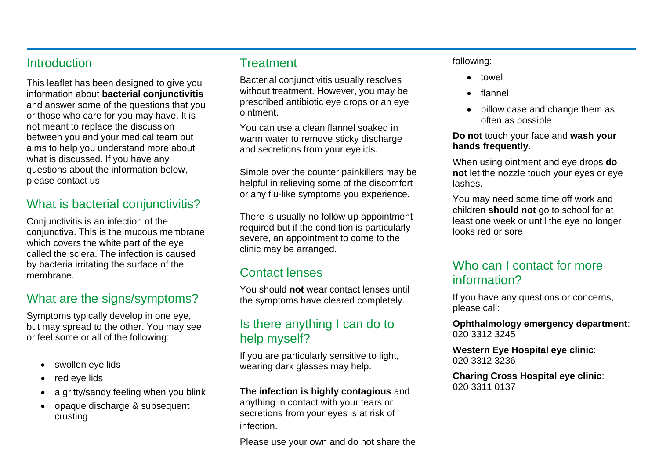## **Introduction**

This leaflet has been designed to give you information about **bacterial conjunctivitis** and answer some of the questions that you or those who care for you may have. It is not meant to replace the discussion between you and your medical team but aims to help you understand more about what is discussed. If you have any questions about the information below, please contact us.

## What is bacterial conjunctivitis?

Conjunctivitis is an infection of the conjunctiva. This is the mucous membrane which covers the white part of the eye called the sclera. The infection is caused by bacteria irritating the surface of the membrane.

## What are the signs/symptoms?

Symptoms typically develop in one eye, but may spread to the other. You may see or feel some or all of the following:

- swollen eye lids
- red eye lids
- a gritty/sandy feeling when you blink
- opaque discharge & subsequent crusting

## **Treatment**

Bacterial conjunctivitis usually resolves without treatment. However, you may be prescribed antibiotic eye drops or an eye ointment.

You can use a clean flannel soaked in warm water to remove sticky discharge and secretions from your eyelids.

Simple over the counter painkillers may be helpful in relieving some of the discomfort or any flu-like symptoms you experience.

There is usually no follow up appointment required but if the condition is particularly severe, an appointment to come to the clinic may be arranged.

## Contact lenses

You should **not** wear contact lenses until the symptoms have cleared completely.

## Is there anything I can do to help myself?

If you are particularly sensitive to light, wearing dark glasses may help.

**The infection is highly contagious** and anything in contact with your tears or secretions from your eyes is at risk of infection.

Please use your own and do not share the

#### following:

- towel
- flannel
- pillow case and change them as often as possible

#### **Do not** touch your face and **wash your hands frequently.**

When using ointment and eye drops **do not** let the nozzle touch your eyes or eye lashes.

You may need some time off work and children **should not** go to school for at least one week or until the eye no longer looks red or sore

## Who can I contact for more information?

If you have any questions or concerns, please call:

**Ophthalmology emergency department**: 020 3312 3245

**Western Eye Hospital eye clinic**: 020 3312 3236

**Charing Cross Hospital eye clinic**: 020 3311 0137